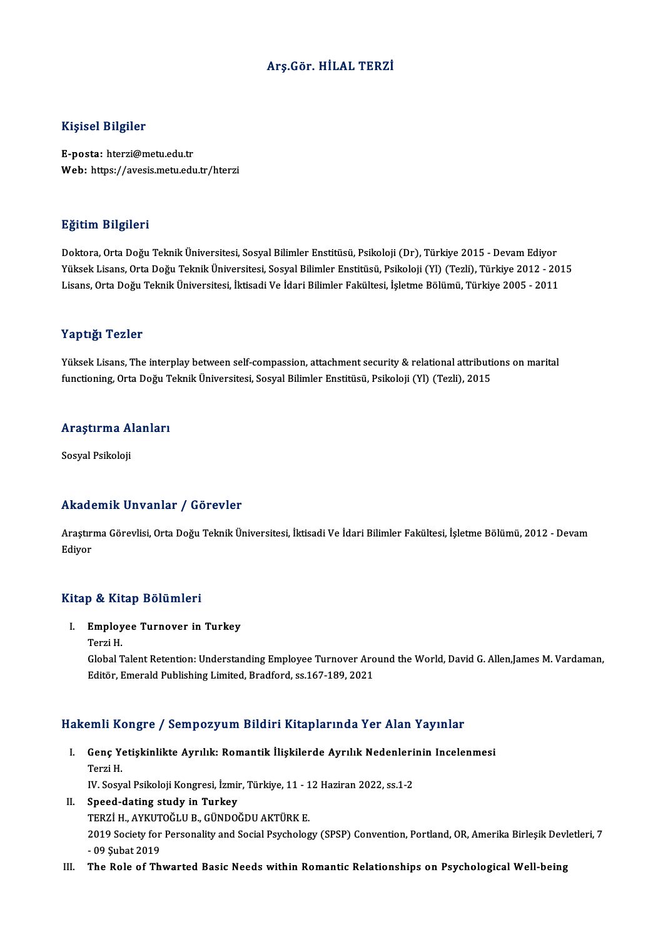### Arş.Gör.HİLAL TERZİ

### Kişisel Bilgiler

E-posta: hterzi@metu.edu.tr Web: https://avesis.metu.edu.tr/hterzi

### Eğitim Bilgileri

Doktora, Orta Doğu Teknik Üniversitesi, Sosyal Bilimler Enstitüsü, Psikoloji (Dr), Türkiye 2015 - Devam Ediyor YüksekLisans,OrtaDoğuTeknikÜniversitesi,SosyalBilimler Enstitüsü,Psikoloji (Yl) (Tezli),Türkiye 2012 -2015 Lisans, Orta Doğu Teknik Üniversitesi, İktisadi Ve İdari Bilimler Fakültesi, İşletme Bölümü, Türkiye 2005 - 2011

### Yaptığı Tezler

Yüksek Lisans, The interplay between self-compassion, attachment security & relational attributions on marital functioning,OrtaDoğuTeknikÜniversitesi,SosyalBilimler Enstitüsü,Psikoloji (Yl) (Tezli),2015

## runcuoning, orta bogu 1<br>Araştırma Alanları <mark>Araştırma A</mark><br>Sosyal Psikoloji

# Akademik Unvanlar / Görevler

**Akademik Unvanlar / Görevler**<br>Araştırma Görevlisi, Orta Doğu Teknik Üniversitesi, İktisadi Ve İdari Bilimler Fakültesi, İşletme Bölümü, 2012 - Devam rrnaa (<br>Araştır:<br>Ediyor <sub>Ediyor</sub><br>Kitap & Kitap Bölümleri

itap & Kitap Bölümleri<br>I. Employee Turnover in Turkey<br>Tarri H p & AA<br>Employ<br>Terzi H.<br>Global T

Employee Turnover in Turkey<br>Terzi H.<br>Global Talent Retention: Understanding Employee Turnover Around the World, David G. Allen,James M. Vardaman,<br>Editër, Emerald Publishing Limited, Pradford, ss 167,199, 2021 Terzi H.<br>Global Talent Retention: Understanding Employee Turnover Aro<br>Editör, Emerald Publishing Limited, Bradford, ss.167-189, 2021

# Editör, Emerald Publishing Limited, Bradford, ss.167-189, 2021<br>Hakemli Kongre / Sempozyum Bildiri Kitaplarında Yer Alan Yayınlar

akemli Kongre / Sempozyum Bildiri Kitaplarında Yer Alan Yayınlar<br>I. Genç Yetişkinlikte Ayrılık: Romantik İlişkilerde Ayrılık Nedenlerinin Incelenmesi<br>Terri H Sinn Is<br>Genç Ye<br>Terzi H. Genç Yetişkinlikte Ayrılık: Romantik İlişkilerde Ayrılık Nedenleri<br>Terzi H.<br>IV. Sosyal Psikoloji Kongresi, İzmir, Türkiye, 11 - 12 Haziran 2022, ss.1-2<br>Speed dating etudu in Turkey.

IV. Sosyal Psikoloji Kongresi, İzmir, Türkiye, 11 - 12 Haziran 2022, ss.1-2

- Terzi H.<br>IV. Sosyal Psikoloji Kongresi, İzmir, Türkiye, 11 1<br>II. Speed-dating study in Turkey<br>TERZİ H., AYKUTOĞLU B., GÜNDOĞDU AKTÜRK E. Speed-dating study in Turkey<br>TERZİ H., AYKUTOĞLU B., GÜNDOĞDU AKTÜRK E.<br>2019 Society for Personality and Social Psychology (SPSP) Convention, Portland, OR, Amerika Birleşik Devletleri, 7<br>.00 Subat 2019 TERZİ H., AYKUT<br>2019 Society for<br>- 09 Şubat 2019<br>The Bola of Th 2019 Society for Personality and Social Psychology (SPSP) Convention, Portland, OR, Amerika Birleşik Dev.<br>- 09 Şubat 2019<br>III. The Role of Thwarted Basic Needs within Romantic Relationships on Psychological Well-being
-